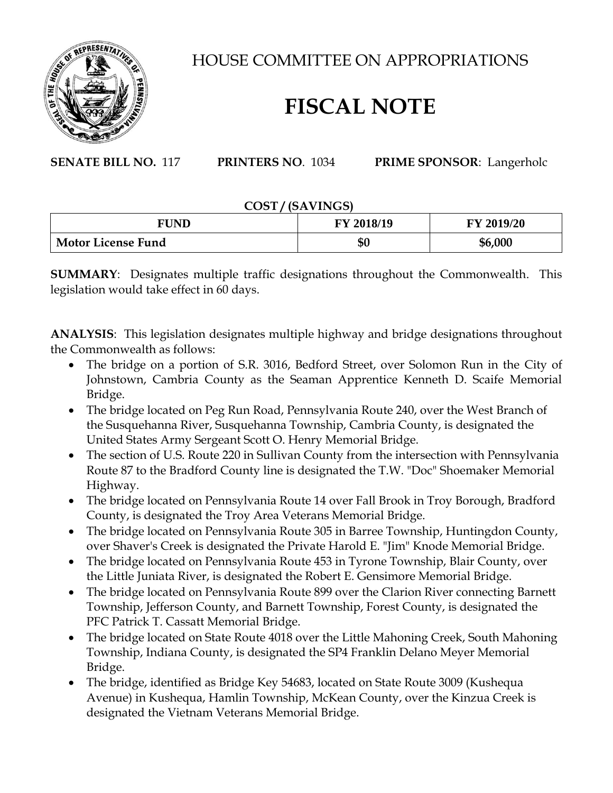

HOUSE COMMITTEE ON APPROPRIATIONS

# **FISCAL NOTE**

**SENATE BILL NO.** 117 **PRINTERS NO**. 1034 **PRIME SPONSOR**: Langerholc

### **COST / (SAVINGS)**

| <b>FUND</b>               | FY 2018/19 | FY 2019/20 |
|---------------------------|------------|------------|
| <b>Motor License Fund</b> | \$0        | \$6,000    |

**SUMMARY**: Designates multiple traffic designations throughout the Commonwealth. This legislation would take effect in 60 days.

**ANALYSIS**: This legislation designates multiple highway and bridge designations throughout the Commonwealth as follows:

- The bridge on a portion of S.R. 3016, Bedford Street, over Solomon Run in the City of Johnstown, Cambria County as the Seaman Apprentice Kenneth D. Scaife Memorial Bridge.
- The bridge located on Peg Run Road, Pennsylvania Route 240, over the West Branch of the Susquehanna River, Susquehanna Township, Cambria County, is designated the United States Army Sergeant Scott O. Henry Memorial Bridge.
- The section of U.S. Route 220 in Sullivan County from the intersection with Pennsylvania Route 87 to the Bradford County line is designated the T.W. "Doc" Shoemaker Memorial Highway.
- The bridge located on Pennsylvania Route 14 over Fall Brook in Troy Borough, Bradford County, is designated the Troy Area Veterans Memorial Bridge.
- The bridge located on Pennsylvania Route 305 in Barree Township, Huntingdon County, over Shaver's Creek is designated the Private Harold E. "Jim" Knode Memorial Bridge.
- The bridge located on Pennsylvania Route 453 in Tyrone Township, Blair County, over the Little Juniata River, is designated the Robert E. Gensimore Memorial Bridge.
- The bridge located on Pennsylvania Route 899 over the Clarion River connecting Barnett Township, Jefferson County, and Barnett Township, Forest County, is designated the PFC Patrick T. Cassatt Memorial Bridge.
- The bridge located on State Route 4018 over the Little Mahoning Creek, South Mahoning Township, Indiana County, is designated the SP4 Franklin Delano Meyer Memorial Bridge.
- The bridge, identified as Bridge Key 54683, located on State Route 3009 (Kushequa Avenue) in Kushequa, Hamlin Township, McKean County, over the Kinzua Creek is designated the Vietnam Veterans Memorial Bridge.